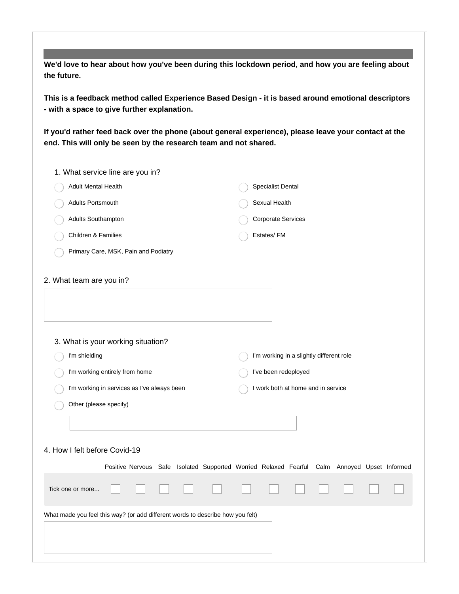**We'd love to hear about how you've been during this lockdown period, and how you are feeling about the future.**

**This is a feedback method called Experience Based Design - it is based around emotional descriptors - with a space to give further explanation.**

**If you'd rather feed back over the phone (about general experience), please leave your contact at the end. This will only be seen by the research team and not shared.**

| 1. What service line are you in?                                               |                                                                                              |
|--------------------------------------------------------------------------------|----------------------------------------------------------------------------------------------|
| Adult Mental Health                                                            | Specialist Dental                                                                            |
| Adults Portsmouth                                                              | Sexual Health                                                                                |
| Adults Southampton                                                             | <b>Corporate Services</b>                                                                    |
| Children & Families                                                            | Estates/FM                                                                                   |
| Primary Care, MSK, Pain and Podiatry                                           |                                                                                              |
| 2. What team are you in?                                                       |                                                                                              |
|                                                                                |                                                                                              |
| 3. What is your working situation?                                             |                                                                                              |
| I'm shielding                                                                  | I'm working in a slightly different role                                                     |
| I'm working entirely from home                                                 | I've been redeployed                                                                         |
| I'm working in services as I've always been                                    | I work both at home and in service                                                           |
| Other (please specify)                                                         |                                                                                              |
|                                                                                |                                                                                              |
| 4. How I felt before Covid-19                                                  |                                                                                              |
|                                                                                | Positive Nervous Safe Isolated Supported Worried Relaxed Fearful Calm Annoyed Upset Informed |
| Tick one or more                                                               |                                                                                              |
| What made you feel this way? (or add different words to describe how you felt) |                                                                                              |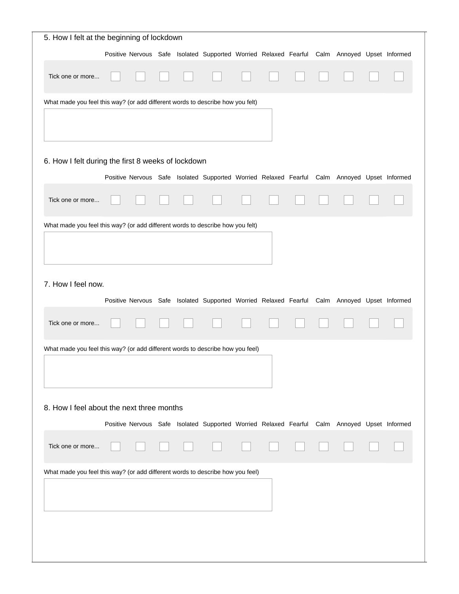| 5. How I felt at the beginning of lockdown                                     |  |  |  |  |                                                                                              |  |  |  |  |
|--------------------------------------------------------------------------------|--|--|--|--|----------------------------------------------------------------------------------------------|--|--|--|--|
|                                                                                |  |  |  |  | Positive Nervous Safe Isolated Supported Worried Relaxed Fearful Calm Annoyed Upset Informed |  |  |  |  |
| Tick one or more                                                               |  |  |  |  |                                                                                              |  |  |  |  |
| What made you feel this way? (or add different words to describe how you felt) |  |  |  |  |                                                                                              |  |  |  |  |
|                                                                                |  |  |  |  |                                                                                              |  |  |  |  |
| 6. How I felt during the first 8 weeks of lockdown                             |  |  |  |  |                                                                                              |  |  |  |  |
|                                                                                |  |  |  |  | Positive Nervous Safe Isolated Supported Worried Relaxed Fearful Calm Annoyed Upset Informed |  |  |  |  |
| Tick one or more                                                               |  |  |  |  |                                                                                              |  |  |  |  |
| What made you feel this way? (or add different words to describe how you felt) |  |  |  |  |                                                                                              |  |  |  |  |
| 7. How I feel now.<br>Tick one or more                                         |  |  |  |  | Positive Nervous Safe Isolated Supported Worried Relaxed Fearful Calm Annoyed Upset Informed |  |  |  |  |
| What made you feel this way? (or add different words to describe how you feel) |  |  |  |  |                                                                                              |  |  |  |  |
| 8. How I feel about the next three months                                      |  |  |  |  |                                                                                              |  |  |  |  |
|                                                                                |  |  |  |  | Positive Nervous Safe Isolated Supported Worried Relaxed Fearful Calm Annoyed Upset Informed |  |  |  |  |
| Tick one or more                                                               |  |  |  |  |                                                                                              |  |  |  |  |
| What made you feel this way? (or add different words to describe how you feel) |  |  |  |  |                                                                                              |  |  |  |  |
|                                                                                |  |  |  |  |                                                                                              |  |  |  |  |